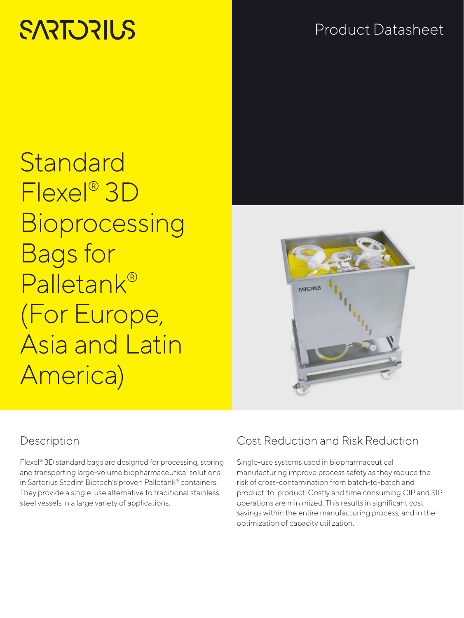# **SARTORILS**

## Product Datasheet

Standard Flexel® 3D **Bioprocessing** Bags for Palletank® (For Europe, Asia and Latin America)



## Description

Flexel® 3D standard bags are designed for processing, storing and transporting large-volume biopharmaceutical solutions in Sartorius Stedim Biotech's proven Palletank® containers. They provide a single-use alternative to traditional stainless steel vessels in a large variety of applications.

## Cost Reduction and Risk Reduction

Single-use systems used in biopharmaceutical manufacturing improve process safety as they reduce the risk of cross-contamination from batch-to-batch and product-to-product. Costly and time consuming CIP and SIP operations are minimized. This results in significant cost savings within the entire manufacturing process, and in the optimization of capacity utilization.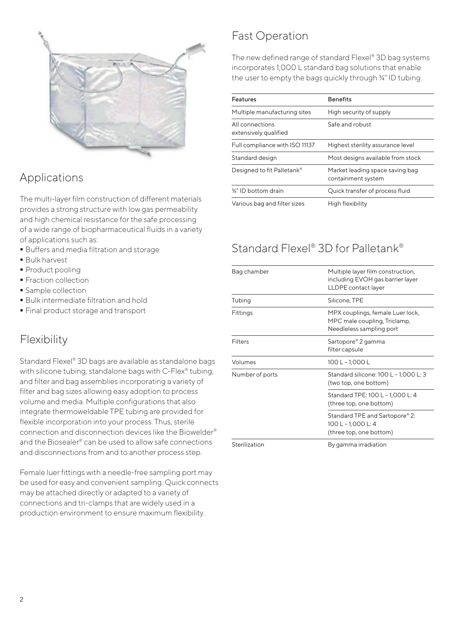

## Applications

The multi-layer film construction of different materials provides a strong structure with low gas permeability and high chemical resistance for the safe processing of a wide range of biopharmaceutical fluids in a variety of applications such as:

- Buffers and media filtration and storage
- Bulk harvest
- Product pooling
- **Fraction collection**
- **Sample collection**
- Bulk intermediate filtration and hold
- **Final product storage and transport**

#### Flexibility

Standard Flexel® 3D bags are available as standalone bags with silicone tubing, standalone bags with C-Flex® tubing, and filter and bag assemblies incorporating a variety of filter and bag sizes allowing easy adoption to process volume and media. Multiple configurations that also integrate thermoweldable TPE tubing are provided for flexible incorporation into your process. Thus, sterile connection and disconnection devices like the Biowelder® and the Biosealer® can be used to allow safe connections and disconnections from and to another process step.

Female luer fittings with a needle-free sampling port may be used for easy and convenient sampling. Quick connects may be attached directly or adapted to a variety of connections and tri-clamps that are widely used in a production environment to ensure maximum flexibility.

## Fast Operation

The new defined range of standard Flexel® 3D bag systems incorporates 1,000 L standard bag solutions that enable the user to empty the bags quickly through ¾" ID tubing.

| <b>Features</b>                          | <b>Benefits</b>                                       |
|------------------------------------------|-------------------------------------------------------|
| Multiple manufacturing sites             | High security of supply                               |
| All connections<br>extensively qualified | Safe and robust                                       |
| Full compliance with ISO 11137           | Highest sterility assurance level                     |
| Standard design                          | Most designs available from stock                     |
| Designed to fit Palletank®               | Market leading space saving bag<br>containment system |
| 3⁄4" ID bottom drain                     | Quick transfer of process fluid                       |
| Various bag and filter sizes             | High flexibility                                      |

#### Standard Flexel® 3D for Palletank®

| Bag chamber     | Multiple layer film construction,<br>including EVOH gas barrier layer<br>LLDPE contact layer |
|-----------------|----------------------------------------------------------------------------------------------|
| Tubing          | Silicone, TPE                                                                                |
| Fittings        | MPX couplings, female Luer lock,<br>MPC male coupling, Triclamp,<br>Needleless sampling port |
| <b>Filters</b>  | Sartopore® 2 gamma<br>filter capsule                                                         |
| Volumes         | 100 L $-$ 1,000 L                                                                            |
| Number of ports | Standard silicone: 100 L - 1,000 L: 3<br>(two top, one bottom)                               |
|                 | Standard TPE: 100 L - 1,000 L: 4<br>(three top, one bottom)                                  |
|                 | Standard TPE and Sartopore® 2:<br>100 L - 1,000 L: 4<br>(three top, one bottom)              |
|                 |                                                                                              |

Sterilization By gamma irradiation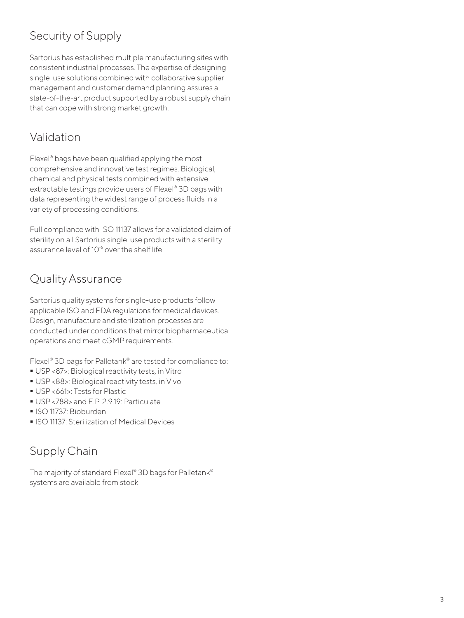## Security of Supply

Sartorius has established multiple manufacturing sites with consistent industrial processes. The expertise of designing single-use solutions combined with collaborative supplier management and customer demand planning assures a state-of-the-art product supported by a robust supply chain that can cope with strong market growth.

## Validation

Flexel® bags have been qualified applying the most comprehensive and innovative test regimes. Biological, chemical and physical tests combined with extensive extractable testings provide users of Flexel® 3D bags with data representing the widest range of process fluids in a variety of processing conditions.

Full compliance with ISO 11137 allows for a validated claim of sterility on all Sartorius single-use products with a sterility assurance level of 10<sup>-6</sup> over the shelf life.

## Quality Assurance

Sartorius quality systems for single-use products follow applicable ISO and FDA regulations for medical devices. Design, manufacture and sterilization processes are conducted under conditions that mirror biopharmaceutical operations and meet cGMP requirements.

Flexel® 3D bags for Palletank® are tested for compliance to:

- USP <87>: Biological reactivity tests, in Vitro
- USP <88>: Biological reactivity tests, in Vivo
- USP <661>: Tests for Plastic
- USP <788> and E.P. 2.9.19: Particulate
- ISO 11737: Bioburden
- **ISO 11137: Sterilization of Medical Devices**

## Supply Chain

The majority of standard Flexel® 3D bags for Palletank® systems are available from stock.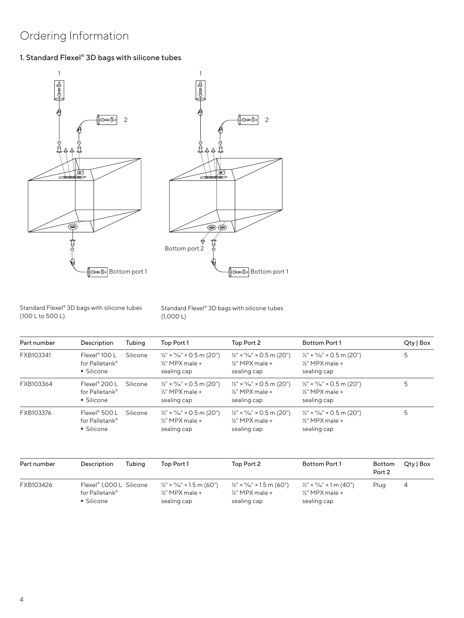## Ordering Information

#### 1. Standard Flexel® 3D bags with silicone tubes



Standard Flexel® 3D bags with silicone tubes (100 L to 500 L)

Silicone

Standard Flexel® 3D bags with silicone tubes (1,000 L)

| Part number | Description                                                           | Tubing   | Top Port 1                                                                                    | Top Port 2                                                                                    | <b>Bottom Port 1</b>                                                                          |                         | $Qty \mid Box$ |
|-------------|-----------------------------------------------------------------------|----------|-----------------------------------------------------------------------------------------------|-----------------------------------------------------------------------------------------------|-----------------------------------------------------------------------------------------------|-------------------------|----------------|
| FXB103341   | Flexel <sup>®</sup> 100 L<br>for Palletank <sup>®</sup><br>• Silicone | Silicone | $\frac{1}{2}$ " × $\frac{1}{16}$ " × 0.5 m (20")<br>$\frac{1}{2}$ " MPX male +<br>sealing cap | $\frac{1}{2}$ " × $\frac{1}{16}$ " × 0.5 m (20")<br>$\frac{1}{2}$ " MPX male +<br>sealing cap | $\frac{1}{2}$ " × $\frac{1}{16}$ " × 0.5 m (20")<br>$\frac{1}{2}$ " MPX male +<br>sealing cap |                         | 5              |
| FXB103364   | Flexel® 200 L<br>for Palletank®<br>• Silicone                         | Silicone | $\frac{1}{2}$ " × $\frac{1}{16}$ " × 0.5 m (20")<br>$\frac{1}{2}$ " MPX male +<br>sealing cap | $\frac{1}{2}$ " × $\frac{1}{16}$ " × 0.5 m (20")<br>$\frac{1}{2}$ " MPX male +<br>sealing cap | $\frac{1}{2}$ " × $\frac{1}{16}$ " × 0.5 m (20")<br>$\frac{1}{2}$ " MPX male +<br>sealing cap |                         | 5              |
| FXB103376   | Flexel® 500 L<br>for Palletank®<br>• Silicone                         | Silicone | $\frac{1}{2}$ " × $\frac{1}{16}$ " × 0.5 m (20")<br>$\frac{1}{2}$ " MPX male +<br>sealing cap | $\frac{1}{2}$ " × $\frac{1}{16}$ " × 0.5 m (20")<br>$\frac{1}{2}$ " MPX male +<br>sealing cap | $\frac{1}{2}$ " × $\frac{1}{16}$ " × 0.5 m (20")<br>$\frac{1}{2}$ " MPX male +<br>sealing cap |                         | 5              |
| Part number | Description                                                           | Tubing   | Top Port 1                                                                                    | Top Port 2                                                                                    | <b>Bottom Port 1</b>                                                                          | <b>Bottom</b><br>Port 2 | Qty   Box      |
| FXB103426   | Flexel <sup>®</sup> 1,000 L Silicone<br>for Palletank®                |          | $\frac{1}{2}$ " × $\frac{1}{16}$ " × 1.5 m (60")<br>$\frac{1}{2}$ " MPX male +                | $\frac{1}{2}$ " × $\frac{1}{16}$ " × 1.5 m (60")<br>$\frac{1}{2}$ " MPX male +                | $\frac{1}{2}$ " × $\frac{1}{16}$ " × 1 m (40")<br>$\frac{1}{2}$ " MPX male +                  | Plug                    | 4              |

sealing cap

sealing cap

sealing cap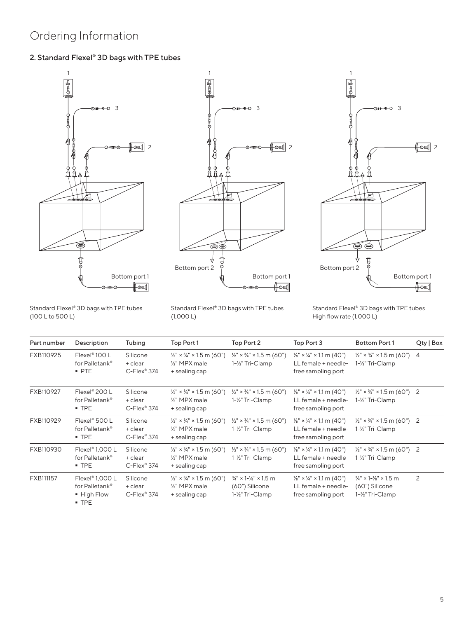## Ordering Information

#### 2. Standard Flexel® 3D bags with TPE tubes







Standard Flexel® 3D bags with TPE tubes (100 L to 500 L)

Standard Flexel® 3D bags with TPE tubes (1,000 L)

Standard Flexel® 3D bags with TPE tubes High flow rate (1,000 L)

| Part number | Description                                                   | Tubing                                            | Top Port 1                                                                        | Top Port 2                                                                                      | Top Port 3                                                                                   | <b>Bottom Port 1</b>                                                               | Qty   Box      |
|-------------|---------------------------------------------------------------|---------------------------------------------------|-----------------------------------------------------------------------------------|-------------------------------------------------------------------------------------------------|----------------------------------------------------------------------------------------------|------------------------------------------------------------------------------------|----------------|
| FXB110925   | Flexel <sup>®</sup> 100 L<br>for Palletank®<br>$-$ PTE        | Silicone<br>+ clear<br>$C$ -Flex <sup>®</sup> 374 | $\frac{1}{2}$ " × $\frac{3}{4}$ " × 1.5 m (60")<br>1/2" MPX male<br>+ sealing cap | $\frac{1}{2}$ " × $\frac{3}{4}$ " × 1.5 m (60")<br>1-1/2" Tri-Clamp                             | $\frac{1}{8}$ " × $\frac{1}{4}$ " × 1.1 m (40")<br>LL female + needle-<br>free sampling port | $\frac{1}{2}$ " × $\frac{3}{4}$ " × 1.5 m (60")<br>1-1/2" Tri-Clamp                | $\overline{4}$ |
| FXB110927   | Flexel <sup>®</sup> 200 L<br>for Palletank®<br>$-$ TPE        | Silicone<br>+ clear<br>$C$ -Flex <sup>®</sup> 374 | $\frac{1}{2}$ " × $\frac{3}{4}$ " × 1.5 m (60")<br>1/2" MPX male<br>+ sealing cap | $\frac{1}{2}$ " × $\frac{3}{4}$ " × 1.5 m (60")<br>1-1/2" Tri-Clamp                             | $\frac{1}{8}$ " × ¼" × 1.1 m (40")<br>LL female + needle-<br>free sampling port              | $\frac{1}{2}$ " × $\frac{3}{4}$ " × 1.5 m (60") 2<br>1-1/2" Tri-Clamp              |                |
| FXB110929   | Flexel® 500 L<br>for Palletank®<br>$-$ TPE                    | Silicone<br>+ clear<br>$C$ -Flex <sup>®</sup> 374 | $\frac{1}{2}$ " × $\frac{3}{4}$ " × 1.5 m (60")<br>1/2" MPX male<br>+ sealing cap | $\frac{1}{2}$ " × $\frac{3}{4}$ " × 1.5 m (60")<br>1-1/2" Tri-Clamp                             | $\frac{1}{8}$ " × 1/4" × 1.1 m (40")<br>LL female + needle-<br>free sampling port            | $\frac{1}{2}$ " × $\frac{3}{4}$ " × 1.5 m (60") 2<br>1-1/2" Tri-Clamp              |                |
| FXB110930   | Flexel <sup>®</sup> 1,000 L<br>for Palletank®<br>$-$ TPE      | Silicone<br>+ clear<br>$C$ -Flex® 374             | $\frac{1}{2}$ " × $\frac{3}{4}$ " × 1.5 m (60")<br>1/2" MPX male<br>+ sealing cap | $\frac{1}{2}$ " × $\frac{3}{4}$ " × 1.5 m (60")<br>1-1/2" Tri-Clamp                             | $\frac{1}{8}$ " × $\frac{1}{4}$ " × 1.1 m (40")<br>LL female + needle-<br>free sampling port | $\frac{1}{2}$ " × $\frac{3}{4}$ " × 1.5 m (60") 2<br>1-1/2" Tri-Clamp              |                |
| FXB111157   | Flexel® $1,000$ L<br>for Palletank®<br>• High Flow<br>$-$ TPE | Silicone<br>+ clear<br>$C$ -Flex <sup>®</sup> 374 | $\frac{1}{2}$ " × $\frac{3}{4}$ " × 1.5 m (60")<br>1/2" MPX male<br>+ sealing cap | $\frac{3}{4}$ " × 1- $\frac{1}{8}$ " × 1.5 m<br>(60") Silicone<br>1-1/ <sub>2</sub> " Tri-Clamp | $\frac{1}{8}$ " × ¼" × 1.1 m (40")<br>LL female + needle-<br>free sampling port              | $\frac{3}{4}$ " × 1- $\frac{1}{8}$ " × 1.5 m<br>(60") Silicone<br>1-1/2" Tri-Clamp | 2              |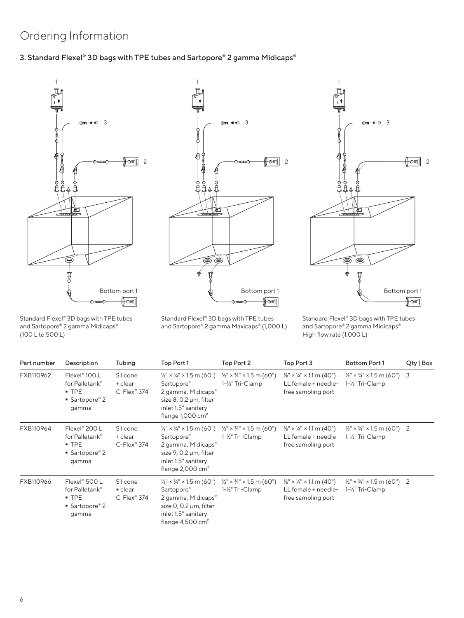#### Ordering Information

#### 3. Standard Flexel® 3D bags with TPE tubes and Sartopore® 2 gamma Midicaps®



Standard Flexel® 3D bags with TPE tubes and Sartopore® 2 gamma Midicaps® (100 L to 500 L)



Standard Flexel® 3D bags with TPE tubes and Sartopore® 2 gamma Maxicaps® (1,000 L)



Standard Flexel® 3D bags with TPE tubes and Sartopore® 2 gamma Midicaps® High flow rate (1,000 L)

| Part number | Description                                                                       | Tubing                                            | Top Port 1                                                                                                                                                                      | Top Port 2                                                          | Top Port 3                                                                                   | <b>Bottom Port 1</b>                                                  | $Q$ ty   Box |
|-------------|-----------------------------------------------------------------------------------|---------------------------------------------------|---------------------------------------------------------------------------------------------------------------------------------------------------------------------------------|---------------------------------------------------------------------|----------------------------------------------------------------------------------------------|-----------------------------------------------------------------------|--------------|
| FXB110962   | Flexel <sup>®</sup> 100 L<br>for Palletank®<br>$-$ TPE<br>■ Sartopore® 2<br>gamma | Silicone<br>+ clear<br>$C$ -Flex <sup>®</sup> 374 | $\frac{1}{2}$ " × $\frac{3}{4}$ " × 1.5 m (60")<br>Sartopore®<br>2 gamma, Midicaps®<br>size 8, 0.2 µm, filter<br>inlet 1.5" sanitary<br>flange $1,000 \text{ cm}^2$             | $\frac{1}{2}$ " × $\frac{3}{4}$ " × 1.5 m (60")<br>1-1/2" Tri-Clamp | $\frac{1}{8}$ " × $\frac{1}{4}$ " × 1.1 m (40")<br>LL female + needle-<br>free sampling port | $\frac{1}{2}$ " × $\frac{3}{4}$ " × 1.5 m (60") 3<br>1-1/2" Tri-Clamp |              |
| FXB110964   | Flexel <sup>®</sup> 200 L<br>for Palletank®<br>$-$ TPE<br>■ Sartopore® 2<br>gamma | Silicone<br>+ clear<br>$C$ -Flex <sup>®</sup> 374 | $\frac{1}{2}$ " × $\frac{3}{4}$ " × 1.5 m (60")<br>Sartopore <sup>®</sup><br>2 gamma, Midicaps®<br>size 9, 0.2 µm, filter<br>inlet 1.5" sanitary<br>flange $2,000 \text{ cm}^2$ | $\frac{1}{2}$ " × $\frac{3}{4}$ " × 1.5 m (60")<br>1-1/2" Tri-Clamp | $\frac{1}{8}$ " × ¼" × 1.1 m (40")<br>LL female + needle-<br>free sampling port              | $\frac{1}{2}$ " × $\frac{3}{4}$ " × 1.5 m (60")<br>1-1/2" Tri-Clamp   | -2           |
| FXB110966   | Flexel <sup>®</sup> 500 L<br>for Palletank®<br>$-$ TPE<br>■ Sartopore® 2<br>gamma | Silicone<br>+ clear<br>$C$ -Flex® 374             | $\frac{1}{2}$ " × $\frac{3}{4}$ " × 1.5 m (60")<br>Sartopore®<br>2 gamma, Midicaps®<br>size 0, 0.2 µm, filter<br>inlet 1.5" sanitary<br>flange $4,500 \text{ cm}^2$             | $\frac{1}{2}$ " × $\frac{3}{4}$ " × 1.5 m (60")<br>1-1/2" Tri-Clamp | $\frac{1}{8}$ " × $\frac{1}{4}$ " × 1.1 m (40")<br>LL female + needle-<br>free sampling port | $\frac{1}{2}$ " × $\frac{3}{4}$ " × 1.5 m (60") 2<br>1-1/2" Tri-Clamp |              |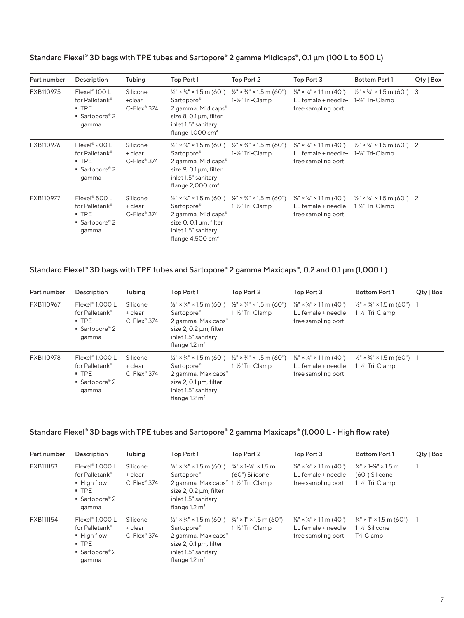| Standard Flexel® 3D bags with TPE tubes and Sartopore® 2 gamma Midicaps®, 0.1 $\mu$ m (100 L to 500 L) |
|--------------------------------------------------------------------------------------------------------|
|--------------------------------------------------------------------------------------------------------|

| Part number | Description                                                                       | Tubing                                            | Top Port 1                                                                                                                                                                   | Top Port 2                                                          | Top Port 3                                                                        | <b>Bottom Port 1</b>                                                  | Qty   Box |
|-------------|-----------------------------------------------------------------------------------|---------------------------------------------------|------------------------------------------------------------------------------------------------------------------------------------------------------------------------------|---------------------------------------------------------------------|-----------------------------------------------------------------------------------|-----------------------------------------------------------------------|-----------|
| FXB110975   | Flexel <sup>®</sup> 100 L<br>for Palletank®<br>$-$ TPE<br>■ Sartopore® 2<br>gamma | Silicone<br>+clear<br>$C$ -Flex <sup>®</sup> 374  | $\frac{1}{2}$ " × $\frac{3}{4}$ " × 1.5 m (60")<br>Sartopore®<br>2 gamma, Midicaps®<br>size $8, 0.1 \mu m$ , filter<br>inlet 1.5" sanitary<br>flange $1,000 \text{ cm}^2$    | $\frac{1}{2}$ " × $\frac{3}{4}$ " × 1.5 m (60")<br>1-1/2" Tri-Clamp | $\frac{1}{8}$ " × 1/4" × 1.1 m (40")<br>LL female + needle-<br>free sampling port | $\frac{1}{2}$ " × $\frac{3}{4}$ " × 1.5 m (60") 3<br>1-1/2" Tri-Clamp |           |
| FXB110976   | Flexel® 200 L<br>for Palletank®<br>$-$ TPE<br>■ Sartopore® 2<br>gamma             | Silicone<br>+ clear<br>$C$ -Flex® 374             | $\frac{1}{2}$ " × $\frac{3}{4}$ " × 1.5 m (60")<br>Sartopore®<br>2 gamma, Midicaps®<br>size 9, 0.1 $\mu$ m, filter<br>inlet 1.5" sanitary<br>flange $2,000 \text{ cm}^2$     | $\frac{1}{2}$ " × $\frac{3}{4}$ " × 1.5 m (60")<br>1-1/2" Tri-Clamp | $\frac{1}{8}$ " × ¼" × 1.1 m (40")<br>LL female + needle-<br>free sampling port   | $\frac{1}{2}$ " × $\frac{3}{4}$ " × 1.5 m (60") 2<br>1-1/2" Tri-Clamp |           |
| FXB110977   | Flexel® 500 L<br>for Palletank®<br>$-$ TPE<br>■ Sartopore® 2<br>gamma             | Silicone<br>+ clear<br>$C$ -Flex <sup>®</sup> 374 | $\frac{1}{2}$ " × $\frac{3}{4}$ " × 1.5 m (60")<br>Sartopore®<br>2 gamma, Midicaps®<br>size $0$ , $0.1 \mu m$ , filter<br>inlet 1.5" sanitary<br>flange $4,500 \text{ cm}^2$ | $\frac{1}{2}$ " × $\frac{3}{4}$ " × 1.5 m (60")<br>1-1/2" Tri-Clamp | $\frac{1}{8}$ " × ¼" × 1.1 m (40")<br>LL female + needle-<br>free sampling port   | $\frac{1}{2}$ " × $\frac{3}{4}$ " × 1.5 m (60") 2<br>1-1/2" Tri-Clamp |           |

#### Standard Flexel® 3D bags with TPE tubes and Sartopore® 2 gamma Maxicaps®, 0.2 and 0.1 µm (1,000 L)

| Part number | Description                                                                         | Tubing                                            | Top Port 1                                                                                                                                            | Top Port 2                                                                                                  | Top Port 3                                                                                   | Bottom Port 1                                                         | Qty   Box |
|-------------|-------------------------------------------------------------------------------------|---------------------------------------------------|-------------------------------------------------------------------------------------------------------------------------------------------------------|-------------------------------------------------------------------------------------------------------------|----------------------------------------------------------------------------------------------|-----------------------------------------------------------------------|-----------|
| FXB110967   | Flexel <sup>®</sup> 1.000 L<br>for Palletank®<br>$-$ TPE<br>■ Sartopore® 2<br>gamma | Silicone<br>+ clear<br>$C$ -Flex® 374             | $\frac{1}{2}$ " × 3⁄4" × 1.5 m (60")<br>Sartopore®<br>2 gamma, Maxicaps®<br>size 2, 0.2 µm, filter<br>inlet 1.5" sanitary<br>flange $1.2 \text{ m}^2$ | $\frac{1}{2}$ " × $\frac{3}{4}$ " × 1.5 m (60")<br>1-1/2" Tri-Clamp                                         | $\frac{1}{8}$ " × ¼" × 1.1 m (40")<br>LL female + needle-<br>free sampling port              | $\frac{1}{2}$ " × $\frac{3}{4}$ " × 1.5 m (60") 1<br>1-1/2" Tri-Clamp |           |
| FXB110978   | Flexel <sup>®</sup> 1,000 L<br>for Palletank®<br>$-$ TPE<br>■ Sartopore® 2<br>gamma | Silicone<br>+ clear<br>$C$ -Flex <sup>®</sup> 374 | Sartopore <sup>®</sup><br>2 gamma, Maxicaps®<br>size 2, $0.1 \mu m$ , filter<br>inlet 1.5" sanitary<br>flange $1.2 \text{ m}^2$                       | $\frac{1}{2}$ x $\frac{3}{4}$ x 1.5 m (60") $\frac{1}{2}$ x $\frac{3}{4}$ x 1.5 m (60")<br>1-1/2" Tri-Clamp | $\frac{1}{8}$ " × $\frac{1}{4}$ " × 1.1 m (40")<br>LL female + needle-<br>free sampling port | $\frac{1}{2}$ " × $\frac{3}{4}$ " × 1.5 m (60") 1<br>1-½" Tri-Clamp   |           |

#### Standard Flexel® 3D bags with TPE tubes and Sartopore® 2 gamma Maxicaps® (1,000 L - High flow rate)

| Part number | Description                                                                                                   | Tubing                                            | Top Port 1                                                                                                                                                                                                       | Top Port 2                                                          | Top Port 3                                                                                   | <b>Bottom Port 1</b>                                                               | Qty   Box |
|-------------|---------------------------------------------------------------------------------------------------------------|---------------------------------------------------|------------------------------------------------------------------------------------------------------------------------------------------------------------------------------------------------------------------|---------------------------------------------------------------------|----------------------------------------------------------------------------------------------|------------------------------------------------------------------------------------|-----------|
| FXB111153   | Flexel <sup>®</sup> 1,000 L<br>for Palletank®<br>• High flow<br>$\blacksquare$ TPE<br>■ Sartopore® 2<br>qamma | Silicone<br>+ clear<br>$C$ -Flex <sup>®</sup> 374 | $\frac{1}{2}$ " × $\frac{3}{4}$ " × 1.5 m (60")<br>Sartopore®<br>2 gamma, Maxicaps <sup>®</sup> 1-1/ <sub>2</sub> " Tri-Clamp<br>size $2, 0.2 \mu m$ , filter<br>inlet 1.5" sanitary<br>flange $1.2 \text{ m}^2$ | $\frac{3}{4}$ " × 1- $\frac{1}{8}$ " × 1.5 m<br>(60") Silicone      | $\frac{1}{8}$ " × 1/4" × 1.1 m (40")<br>LL female + needle-<br>free sampling port            | $\frac{3}{4}$ " × 1- $\frac{1}{8}$ " × 1.5 m<br>(60") Silicone<br>1-1/2" Tri-Clamp |           |
| FXB111154   | Flexel <sup>®</sup> 1,000 L<br>for Palletank®<br>• High flow<br>$-$ TPE<br>■ Sartopore® 2<br>qamma            | Silicone<br>+ clear<br>$C$ -Flex® 374             | $\frac{1}{2}$ " × $\frac{3}{4}$ " × 1.5 m (60")<br>Sartopore <sup>®</sup><br>2 gamma, Maxicaps <sup>®</sup><br>size $2, 0.1 \mu m$ , filter<br>inlet 1.5" sanitary<br>flange $1.2 \text{ m}^2$                   | $\frac{3}{4}$ " × 1" × 1.5 m (60")<br>1-1/ <sub>2</sub> " Tri-Clamp | $\frac{1}{8}$ " × $\frac{1}{4}$ " × 1.1 m (40")<br>LL female + needle-<br>free sampling port | $\frac{3}{4}$ " × 1" × 1.5 m (60") 1<br>1-1/ <sub>2</sub> " Silicone<br>Tri-Clamp  |           |